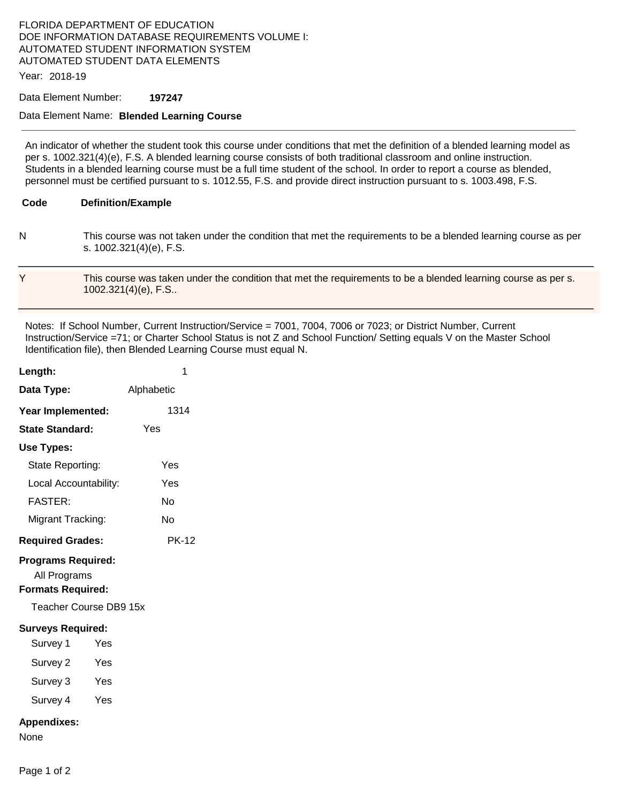# FLORIDA DEPARTMENT OF EDUCATION DOE INFORMATION DATABASE REQUIREMENTS VOLUME I: AUTOMATED STUDENT INFORMATION SYSTEM AUTOMATED STUDENT DATA ELEMENTS

Year: 2018-19

### Data Element Number: **197247**

### Data Element Name: **Blended Learning Course**

 An indicator of whether the student took this course under conditions that met the definition of a blended learning model as per s. 1002.321(4)(e), F.S. A blended learning course consists of both traditional classroom and online instruction. Students in a blended learning course must be a full time student of the school. In order to report a course as blended, personnel must be certified pursuant to s. 1012.55, F.S. and provide direct instruction pursuant to s. 1003.498, F.S.

#### Code **Code Definition/Example**

 N This course was not taken under the condition that met the requirements to be a blended learning course as per s. 1002.321(4)(e), F.S.

## Y This course was taken under the condition that met the requirements to be a blended learning course as per s. 1002.321(4)(e), F.S..

 Identification file), then Blended Learning Course must equal N. Notes: If School Number, Current Instruction/Service = 7001, 7004, 7006 or 7023; or District Number, Current Instruction/Service =71; or Charter School Status is not Z and School Function/ Setting equals V on the Master School

| Length:                                                                                         | 1            |  |
|-------------------------------------------------------------------------------------------------|--------------|--|
| Data Type:                                                                                      | Alphabetic   |  |
| Year Implemented:                                                                               | 1314         |  |
| <b>State Standard:</b>                                                                          | Yes          |  |
| Use Types:                                                                                      |              |  |
| State Reporting:                                                                                | Yes          |  |
| Local Accountability:                                                                           | Yes          |  |
| <b>FASTER:</b>                                                                                  | N٥           |  |
| Migrant Tracking:                                                                               | No           |  |
| <b>Required Grades:</b>                                                                         | <b>PK-12</b> |  |
| <b>Programs Required:</b><br>All Programs<br><b>Formats Required:</b><br>Teacher Course DB9 15x |              |  |
| <b>Surveys Required:</b>                                                                        |              |  |
| Survey 1<br>Yes                                                                                 |              |  |
| Survey 2<br>Yes                                                                                 |              |  |
| Survey 3<br>Yes                                                                                 |              |  |
| Survey 4<br><b>Yes</b>                                                                          |              |  |
| <b>Appendixes:</b><br>None                                                                      |              |  |